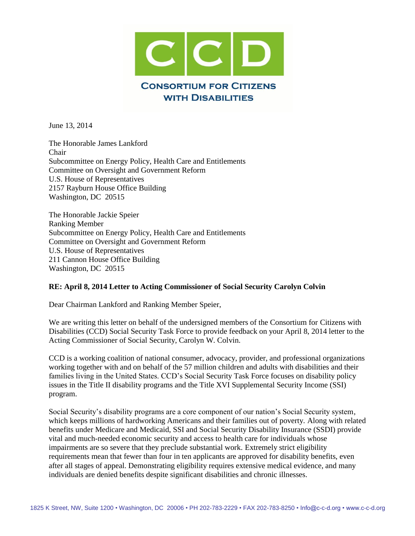

June 13, 2014

The Honorable James Lankford Chair Subcommittee on Energy Policy, Health Care and Entitlements Committee on Oversight and Government Reform U.S. House of Representatives 2157 Rayburn House Office Building Washington, DC 20515

The Honorable Jackie Speier Ranking Member Subcommittee on Energy Policy, Health Care and Entitlements Committee on Oversight and Government Reform U.S. House of Representatives 211 Cannon House Office Building Washington, DC 20515

#### **RE: April 8, 2014 Letter to Acting Commissioner of Social Security Carolyn Colvin**

Dear Chairman Lankford and Ranking Member Speier,

We are writing this letter on behalf of the undersigned members of the Consortium for Citizens with Disabilities (CCD) Social Security Task Force to provide feedback on your April 8, 2014 letter to the Acting Commissioner of Social Security, Carolyn W. Colvin.

CCD is a working coalition of national consumer, advocacy, provider, and professional organizations working together with and on behalf of the 57 million children and adults with disabilities and their families living in the United States. CCD's Social Security Task Force focuses on disability policy issues in the Title II disability programs and the Title XVI Supplemental Security Income (SSI) program.

Social Security's disability programs are a core component of our nation's Social Security system, which keeps millions of hardworking Americans and their families out of poverty. Along with related benefits under Medicare and Medicaid, SSI and Social Security Disability Insurance (SSDI) provide vital and much-needed economic security and access to health care for individuals whose impairments are so severe that they preclude substantial work. Extremely strict eligibility requirements mean that fewer than four in ten applicants are approved for disability benefits, even after all stages of appeal. Demonstrating eligibility requires extensive medical evidence, and many individuals are denied benefits despite significant disabilities and chronic illnesses.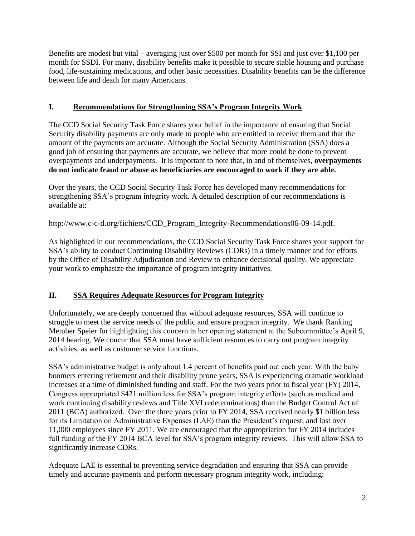Benefits are modest but vital – averaging just over \$500 per month for SSI and just over \$1,100 per month for SSDI. For many, disability benefits make it possible to secure stable housing and purchase food, life-sustaining medications, and other basic necessities. Disability benefits can be the difference between life and death for many Americans.

# **I. Recommendations for Strengthening SSA's Program Integrity Work**

The CCD Social Security Task Force shares your belief in the importance of ensuring that Social Security disability payments are only made to people who are entitled to receive them and that the amount of the payments are accurate. Although the Social Security Administration (SSA) does a good job of ensuring that payments are accurate, we believe that more could be done to prevent overpayments and underpayments. It is important to note that, in and of themselves, **overpayments do not indicate fraud or abuse as beneficiaries are encouraged to work if they are able.**

Over the years, the CCD Social Security Task Force has developed many recommendations for strengthening SSA's program integrity work. A detailed description of our recommendations is available at:

# [http://www.c-c-d.org/fichiers/CCD\\_Program\\_Integrity-Recommendations06-09-14.pdf](http://www.c-c-d.org/fichiers/CCD_Program_Integrity-Recommendations06-09-14.pdf).

As highlighted in our recommendations, the CCD Social Security Task Force shares your support for SSA's ability to conduct Continuing Disability Reviews (CDRs) in a timely manner and for efforts by the Office of Disability Adjudication and Review to enhance decisional quality. We appreciate your work to emphasize the importance of program integrity initiatives.

# **II. SSA Requires Adequate Resources for Program Integrity**

Unfortunately, we are deeply concerned that without adequate resources, SSA will continue to struggle to meet the service needs of the public and ensure program integrity. We thank Ranking Member Speier for highlighting this concern in her opening statement at the Subcommittee's April 9, 2014 hearing. We concur that SSA must have sufficient resources to carry out program integrity activities, as well as customer service functions.

SSA's administrative budget is only about 1.4 percent of benefits paid out each year. With the baby boomers entering retirement and their disability prone years, SSA is experiencing dramatic workload increases at a time of diminished funding and staff. For the two years prior to fiscal year (FY) 2014, Congress appropriated \$421 million less for SSA's program integrity efforts (such as medical and work continuing disability reviews and Title XVI redeterminations) than the Budget Control Act of 2011 (BCA) authorized. Over the three years prior to FY 2014, SSA received nearly \$1 billion less for its Limitation on Administrative Expenses (LAE) than the President's request, and lost over 11,000 employees since FY 2011. We are encouraged that the appropriation for FY 2014 includes full funding of the FY 2014 BCA level for SSA's program integrity reviews. This will allow SSA to significantly increase CDRs.

Adequate LAE is essential to preventing service degradation and ensuring that SSA can provide timely and accurate payments and perform necessary program integrity work, including: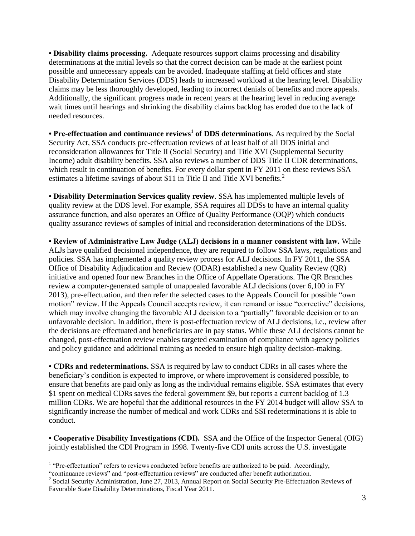**• Disability claims processing.** Adequate resources support claims processing and disability determinations at the initial levels so that the correct decision can be made at the earliest point possible and unnecessary appeals can be avoided. Inadequate staffing at field offices and state Disability Determination Services (DDS) leads to increased workload at the hearing level. Disability claims may be less thoroughly developed, leading to incorrect denials of benefits and more appeals. Additionally, the significant progress made in recent years at the hearing level in reducing average wait times until hearings and shrinking the disability claims backlog has eroded due to the lack of needed resources.

**• Pre-effectuation and continuance reviews<sup>1</sup> of DDS determinations**. As required by the Social Security Act, SSA conducts pre-effectuation reviews of at least half of all DDS initial and reconsideration allowances for Title II (Social Security) and Title XVI (Supplemental Security Income) adult disability benefits. SSA also reviews a number of DDS Title II CDR determinations, which result in continuation of benefits. For every dollar spent in FY 2011 on these reviews SSA estimates a lifetime savings of about \$11 in Title II and Title XVI benefits.<sup>2</sup>

**• Disability Determination Services quality review**. SSA has implemented multiple levels of quality review at the DDS level. For example, SSA requires all DDSs to have an internal quality assurance function, and also operates an Office of Quality Performance (OQP) which conducts quality assurance reviews of samples of initial and reconsideration determinations of the DDSs.

**• Review of Administrative Law Judge (ALJ) decisions in a manner consistent with law.** While ALJs have qualified decisional independence, they are required to follow SSA laws, regulations and policies. SSA has implemented a quality review process for ALJ decisions. In FY 2011, the SSA Office of Disability Adjudication and Review (ODAR) established a new Quality Review (QR) initiative and opened four new Branches in the Office of Appellate Operations. The QR Branches review a computer-generated sample of unappealed favorable ALJ decisions (over 6,100 in FY 2013), pre-effectuation, and then refer the selected cases to the Appeals Council for possible "own motion" review. If the Appeals Council accepts review, it can remand or issue "corrective" decisions, which may involve changing the favorable ALJ decision to a "partially" favorable decision or to an unfavorable decision. In addition, there is post-effectuation review of ALJ decisions, i.e., review after the decisions are effectuated and beneficiaries are in pay status. While these ALJ decisions cannot be changed, post-effectuation review enables targeted examination of compliance with agency policies and policy guidance and additional training as needed to ensure high quality decision-making.

**• CDRs and redeterminations.** SSA is required by law to conduct CDRs in all cases where the beneficiary's condition is expected to improve, or where improvement is considered possible, to ensure that benefits are paid only as long as the individual remains eligible. SSA estimates that every \$1 spent on medical CDRs saves the federal government \$9, but reports a current backlog of 1.3 million CDRs. We are hopeful that the additional resources in the FY 2014 budget will allow SSA to significantly increase the number of medical and work CDRs and SSI redeterminations it is able to conduct.

**• Cooperative Disability Investigations (CDI).** SSA and the Office of the Inspector General (OIG) jointly established the CDI Program in 1998. Twenty-five CDI units across the U.S. investigate

<sup>&</sup>lt;sup>1</sup> "Pre-effectuation" refers to reviews conducted before benefits are authorized to be paid. Accordingly,

<sup>&</sup>quot;continuance reviews" and "post-effectuation reviews" are conducted after benefit authorization.

<sup>&</sup>lt;sup>2</sup> Social Security Administration, June 27, 2013, Annual Report on Social Security Pre-Effectuation Reviews of Favorable State Disability Determinations, Fiscal Year 2011.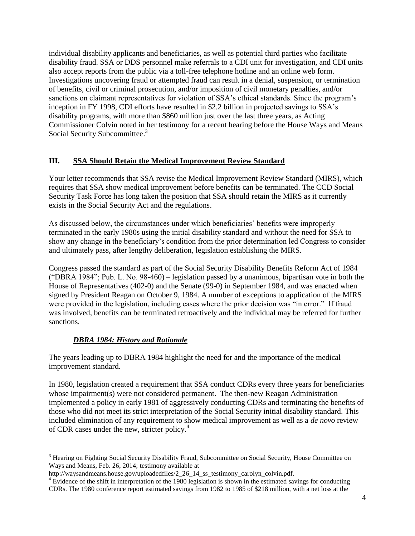individual disability applicants and beneficiaries, as well as potential third parties who facilitate disability fraud. SSA or DDS personnel make referrals to a CDI unit for investigation, and CDI units also accept reports from the public via a toll-free telephone hotline and an online web form. Investigations uncovering fraud or attempted fraud can result in a denial, suspension, or termination of benefits, civil or criminal prosecution, and/or imposition of civil monetary penalties, and/or sanctions on claimant representatives for violation of SSA's ethical standards. Since the program's inception in FY 1998, CDI efforts have resulted in \$2.2 billion in projected savings to SSA's disability programs, with more than \$860 million just over the last three years, as Acting Commissioner Colvin noted in her testimony for a recent hearing before the House Ways and Means Social Security Subcommittee.<sup>3</sup>

#### **III. SSA Should Retain the Medical Improvement Review Standard**

Your letter recommends that SSA revise the Medical Improvement Review Standard (MIRS), which requires that SSA show medical improvement before benefits can be terminated. The CCD Social Security Task Force has long taken the position that SSA should retain the MIRS as it currently exists in the Social Security Act and the regulations.

As discussed below, the circumstances under which beneficiaries' benefits were improperly terminated in the early 1980s using the initial disability standard and without the need for SSA to show any change in the beneficiary's condition from the prior determination led Congress to consider and ultimately pass, after lengthy deliberation, legislation establishing the MIRS.

Congress passed the standard as part of the Social Security Disability Benefits Reform Act of 1984 ("DBRA 1984"; Pub. L. No. 98-460) – legislation passed by a unanimous, bipartisan vote in both the House of Representatives (402-0) and the Senate (99-0) in September 1984, and was enacted when signed by President Reagan on October 9, 1984. A number of exceptions to application of the MIRS were provided in the legislation, including cases where the prior decision was "in error." If fraud was involved, benefits can be terminated retroactively and the individual may be referred for further sanctions.

# *DBRA 1984: History and Rationale*

 $\overline{a}$ 

The years leading up to DBRA 1984 highlight the need for and the importance of the medical improvement standard.

In 1980, legislation created a requirement that SSA conduct CDRs every three years for beneficiaries whose impairment(s) were not considered permanent. The then-new Reagan Administration implemented a policy in early 1981 of aggressively conducting CDRs and terminating the benefits of those who did not meet its strict interpretation of the Social Security initial disability standard. This included elimination of any requirement to show medical improvement as well as a *de novo* review of CDR cases under the new, stricter policy.<sup>4</sup>

<sup>&</sup>lt;sup>3</sup> Hearing on Fighting Social Security Disability Fraud, Subcommittee on Social Security, House Committee on Ways and Means, Feb. 26, 2014; testimony available at

[http://waysandmeans.house.gov/uploadedfiles/2\\_26\\_14\\_ss\\_testimony\\_carolyn\\_colvin.pdf.](http://waysandmeans.house.gov/uploadedfiles/2_26_14_ss_testimony_carolyn_colvin.pdf)

 $4$  Evidence of the shift in interpretation of the 1980 legislation is shown in the estimated savings for conducting CDRs. The 1980 conference report estimated savings from 1982 to 1985 of \$218 million, with a net loss at the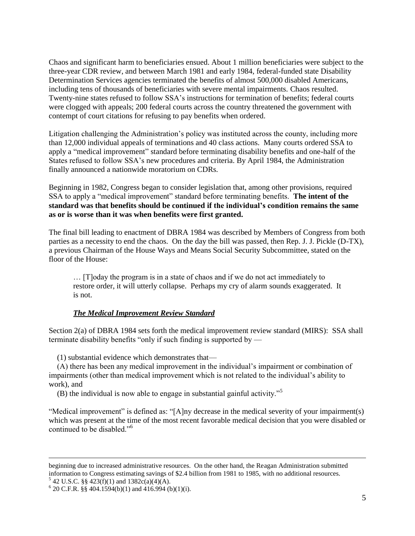Chaos and significant harm to beneficiaries ensued. About 1 million beneficiaries were subject to the three-year CDR review, and between March 1981 and early 1984, federal-funded state Disability Determination Services agencies terminated the benefits of almost 500,000 disabled Americans, including tens of thousands of beneficiaries with severe mental impairments. Chaos resulted. Twenty-nine states refused to follow SSA's instructions for termination of benefits; federal courts were clogged with appeals; 200 federal courts across the country threatened the government with contempt of court citations for refusing to pay benefits when ordered.

Litigation challenging the Administration's policy was instituted across the county, including more than 12,000 individual appeals of terminations and 40 class actions. Many courts ordered SSA to apply a "medical improvement" standard before terminating disability benefits and one-half of the States refused to follow SSA's new procedures and criteria. By April 1984, the Administration finally announced a nationwide moratorium on CDRs.

Beginning in 1982, Congress began to consider legislation that, among other provisions, required SSA to apply a "medical improvement" standard before terminating benefits. **The intent of the standard was that benefits should be continued if the individual's condition remains the same as or is worse than it was when benefits were first granted.**

The final bill leading to enactment of DBRA 1984 was described by Members of Congress from both parties as a necessity to end the chaos. On the day the bill was passed, then Rep. J. J. Pickle (D-TX), a previous Chairman of the House Ways and Means Social Security Subcommittee, stated on the floor of the House:

… [T]oday the program is in a state of chaos and if we do not act immediately to restore order, it will utterly collapse. Perhaps my cry of alarm sounds exaggerated. It is not.

#### *The Medical Improvement Review Standard*

Section 2(a) of DBRA 1984 sets forth the medical improvement review standard (MIRS): SSA shall terminate disability benefits "only if such finding is supported by —

(1) substantial evidence which demonstrates that—

(A) there has been any medical improvement in the individual's impairment or combination of impairments (other than medical improvement which is not related to the individual's ability to work), and

(B) the individual is now able to engage in substantial gainful activity."<sup>5</sup>

"Medical improvement" is defined as: "[A]ny decrease in the medical severity of your impairment(s) which was present at the time of the most recent favorable medical decision that you were disabled or continued to be disabled."<sup>6</sup>

 $5$  42 U.S.C. §§ 423(f)(1) and 1382c(a)(4)(A).

beginning due to increased administrative resources. On the other hand, the Reagan Administration submitted information to Congress estimating savings of \$2.4 billion from 1981 to 1985, with no additional resources.

 $6$  20 C.F.R. §§ 404.1594(b)(1) and 416.994 (b)(1)(i).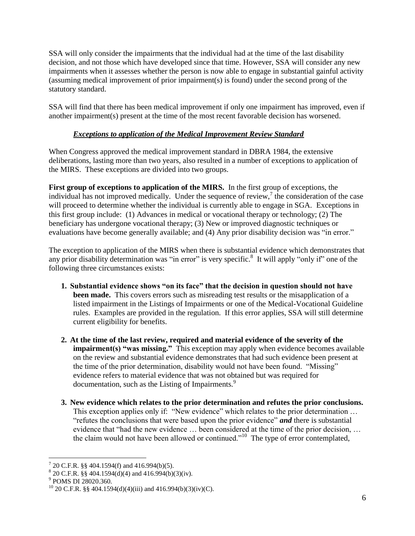SSA will only consider the impairments that the individual had at the time of the last disability decision, and not those which have developed since that time. However, SSA will consider any new impairments when it assesses whether the person is now able to engage in substantial gainful activity (assuming medical improvement of prior impairment(s) is found) under the second prong of the statutory standard.

SSA will find that there has been medical improvement if only one impairment has improved, even if another impairment(s) present at the time of the most recent favorable decision has worsened.

# *Exceptions to application of the Medical Improvement Review Standard*

When Congress approved the medical improvement standard in DBRA 1984, the extensive deliberations, lasting more than two years, also resulted in a number of exceptions to application of the MIRS. These exceptions are divided into two groups.

**First group of exceptions to application of the MIRS.** In the first group of exceptions, the individual has not improved medically. Under the sequence of review, $\frac{7}{1}$  the consideration of the case will proceed to determine whether the individual is currently able to engage in SGA. Exceptions in this first group include: (1) Advances in medical or vocational therapy or technology; (2) The beneficiary has undergone vocational therapy; (3) New or improved diagnostic techniques or evaluations have become generally available; and (4) Any prior disability decision was "in error."

The exception to application of the MIRS when there is substantial evidence which demonstrates that any prior disability determination was "in error" is very specific.<sup>8</sup> It will apply "only if" one of the following three circumstances exists:

- **1. Substantial evidence shows "on its face" that the decision in question should not have been made.** This covers errors such as misreading test results or the misapplication of a listed impairment in the Listings of Impairments or one of the Medical-Vocational Guideline rules. Examples are provided in the regulation. If this error applies, SSA will still determine current eligibility for benefits.
- **2. At the time of the last review, required and material evidence of the severity of the impairment(s) "was missing."** This exception may apply when evidence becomes available on the review and substantial evidence demonstrates that had such evidence been present at the time of the prior determination, disability would not have been found. "Missing" evidence refers to material evidence that was not obtained but was required for documentation, such as the Listing of Impairments.<sup>9</sup>
- **3. New evidence which relates to the prior determination and refutes the prior conclusions.**  This exception applies only if: "New evidence" which relates to the prior determination ... "refutes the conclusions that were based upon the prior evidence" *and* there is substantial evidence that "had the new evidence … been considered at the time of the prior decision, … the claim would not have been allowed or continued."<sup>10</sup> The type of error contemplated,

 7 20 C.F.R. §§ 404.1594(f) and 416.994(b)(5).

 $8^{8}$  20 C.F.R. §§ 404.1594(d)(4) and 416.994(b)(3)(iv).

<sup>9</sup> POMS DI 28020.360.

<sup>&</sup>lt;sup>10</sup> 20 C.F.R. §§ 404.1594(d)(4)(iii) and 416.994(b)(3)(iv)(C).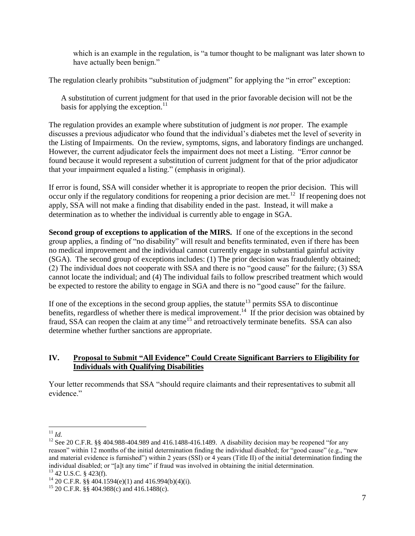which is an example in the regulation, is "a tumor thought to be malignant was later shown to have actually been benign."

The regulation clearly prohibits "substitution of judgment" for applying the "in error" exception:

A substitution of current judgment for that used in the prior favorable decision will not be the basis for applying the exception.<sup>11</sup>

The regulation provides an example where substitution of judgment is *not* proper. The example discusses a previous adjudicator who found that the individual's diabetes met the level of severity in the Listing of Impairments. On the review, symptoms, signs, and laboratory findings are unchanged. However, the current adjudicator feels the impairment does not meet a Listing. "Error *cannot* be found because it would represent a substitution of current judgment for that of the prior adjudicator that your impairment equaled a listing." (emphasis in original).

If error is found, SSA will consider whether it is appropriate to reopen the prior decision. This will occur only if the regulatory conditions for reopening a prior decision are met.<sup>12</sup> If reopening does not apply, SSA will not make a finding that disability ended in the past. Instead, it will make a determination as to whether the individual is currently able to engage in SGA.

**Second group of exceptions to application of the MIRS.** If one of the exceptions in the second group applies, a finding of "no disability" will result and benefits terminated, even if there has been no medical improvement and the individual cannot currently engage in substantial gainful activity (SGA). The second group of exceptions includes: (1) The prior decision was fraudulently obtained; (2) The individual does not cooperate with SSA and there is no "good cause" for the failure; (3) SSA cannot locate the individual; and (4) The individual fails to follow prescribed treatment which would be expected to restore the ability to engage in SGA and there is no "good cause" for the failure.

If one of the exceptions in the second group applies, the statute<sup>13</sup> permits SSA to discontinue benefits, regardless of whether there is medical improvement.<sup>14</sup> If the prior decision was obtained by fraud, SSA can reopen the claim at any time<sup>15</sup> and retroactively terminate benefits. SSA can also determine whether further sanctions are appropriate.

#### **IV. Proposal to Submit "All Evidence" Could Create Significant Barriers to Eligibility for Individuals with Qualifying Disabilities**

Your letter recommends that SSA "should require claimants and their representatives to submit all evidence"

 $\overline{a}$ <sup>11</sup> *Id.*

<sup>&</sup>lt;sup>12</sup> See 20 C.F.R. §§ 404.988-404.989 and 416.1488-416.1489. A disability decision may be reopened "for any reason" within 12 months of the initial determination finding the individual disabled; for "good cause" (e.g., "new and material evidence is furnished") within 2 years (SSI) or 4 years (Title II) of the initial determination finding the individual disabled; or "[a]t any time" if fraud was involved in obtaining the initial determination.

<sup>13</sup> 42 U.S.C. § 423(f).

<sup>&</sup>lt;sup>14</sup> 20 C.F.R. §§ 404.1594(e)(1) and 416.994(b)(4)(i).

 $15$  20 C.F.R. §§ 404.988(c) and 416.1488(c).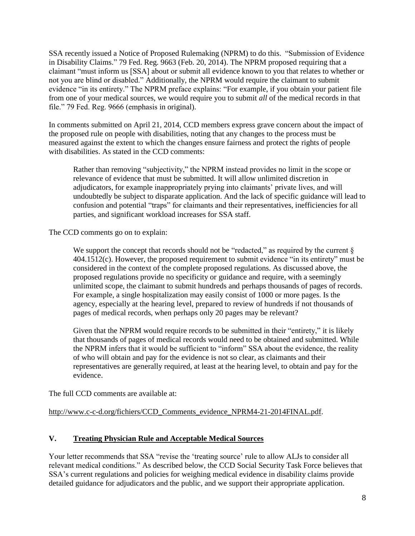SSA recently issued a Notice of Proposed Rulemaking (NPRM) to do this. "Submission of Evidence in Disability Claims." 79 Fed. Reg. 9663 (Feb. 20, 2014). The NPRM proposed requiring that a claimant "must inform us [SSA] about or submit all evidence known to you that relates to whether or not you are blind or disabled." Additionally, the NPRM would require the claimant to submit evidence "in its entirety." The NPRM preface explains: "For example, if you obtain your patient file from one of your medical sources, we would require you to submit *all* of the medical records in that file." 79 Fed. Reg. 9666 (emphasis in original).

In comments submitted on April 21, 2014, CCD members express grave concern about the impact of the proposed rule on people with disabilities, noting that any changes to the process must be measured against the extent to which the changes ensure fairness and protect the rights of people with disabilities. As stated in the CCD comments:

Rather than removing "subjectivity," the NPRM instead provides no limit in the scope or relevance of evidence that must be submitted. It will allow unlimited discretion in adjudicators, for example inappropriately prying into claimants' private lives, and will undoubtedly be subject to disparate application. And the lack of specific guidance will lead to confusion and potential "traps" for claimants and their representatives, inefficiencies for all parties, and significant workload increases for SSA staff.

The CCD comments go on to explain:

We support the concept that records should not be "redacted," as required by the current  $\S$ 404.1512(c). However, the proposed requirement to submit evidence "in its entirety" must be considered in the context of the complete proposed regulations. As discussed above, the proposed regulations provide no specificity or guidance and require, with a seemingly unlimited scope, the claimant to submit hundreds and perhaps thousands of pages of records. For example, a single hospitalization may easily consist of 1000 or more pages. Is the agency, especially at the hearing level, prepared to review of hundreds if not thousands of pages of medical records, when perhaps only 20 pages may be relevant?

Given that the NPRM would require records to be submitted in their "entirety," it is likely that thousands of pages of medical records would need to be obtained and submitted. While the NPRM infers that it would be sufficient to "inform" SSA about the evidence, the reality of who will obtain and pay for the evidence is not so clear, as claimants and their representatives are generally required, at least at the hearing level, to obtain and pay for the evidence.

The full CCD comments are available at:

[http://www.c-c-d.org/fichiers/CCD\\_Comments\\_evidence\\_NPRM4-21-2014FINAL.pdf.](http://www.c-c-d.org/fichiers/CCD_Comments_evidence_NPRM4-21-2014FINAL.pdf)

# **V. Treating Physician Rule and Acceptable Medical Sources**

Your letter recommends that SSA "revise the 'treating source' rule to allow ALJs to consider all relevant medical conditions." As described below, the CCD Social Security Task Force believes that SSA's current regulations and policies for weighing medical evidence in disability claims provide detailed guidance for adjudicators and the public, and we support their appropriate application.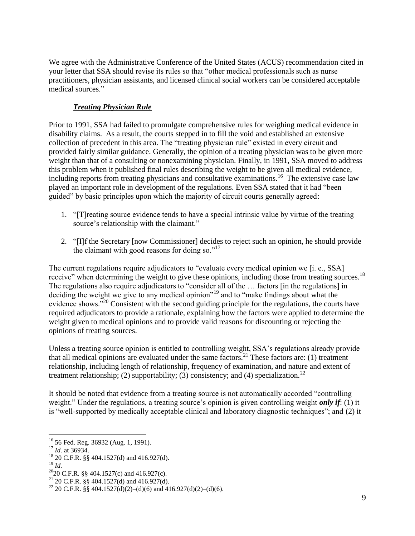We agree with the Administrative Conference of the United States (ACUS) recommendation cited in your letter that SSA should revise its rules so that "other medical professionals such as nurse practitioners, physician assistants, and licensed clinical social workers can be considered acceptable medical sources."

# *Treating Physician Rule*

Prior to 1991, SSA had failed to promulgate comprehensive rules for weighing medical evidence in disability claims. As a result, the courts stepped in to fill the void and established an extensive collection of precedent in this area. The "treating physician rule" existed in every circuit and provided fairly similar guidance. Generally, the opinion of a treating physician was to be given more weight than that of a consulting or nonexamining physician. Finally, in 1991, SSA moved to address this problem when it published final rules describing the weight to be given all medical evidence, including reports from treating physicians and consultative examinations.<sup>16</sup> The extensive case law played an important role in development of the regulations. Even SSA stated that it had "been guided" by basic principles upon which the majority of circuit courts generally agreed:

- 1. "[T]reating source evidence tends to have a special intrinsic value by virtue of the treating source's relationship with the claimant."
- 2. "[I]f the Secretary [now Commissioner] decides to reject such an opinion, he should provide the claimant with good reasons for doing so." $17$

The current regulations require adjudicators to "evaluate every medical opinion we [i. e., SSA] receive" when determining the weight to give these opinions, including those from treating sources.<sup>18</sup> The regulations also require adjudicators to "consider all of the … factors [in the regulations] in deciding the weight we give to any medical opinion"<sup>19</sup> and to "make findings about what the evidence shows.<sup>"20</sup> Consistent with the second guiding principle for the regulations, the courts have required adjudicators to provide a rationale, explaining how the factors were applied to determine the weight given to medical opinions and to provide valid reasons for discounting or rejecting the opinions of treating sources.

Unless a treating source opinion is entitled to controlling weight, SSA's regulations already provide that all medical opinions are evaluated under the same factors.<sup>21</sup> These factors are: (1) treatment relationship, including length of relationship, frequency of examination, and nature and extent of treatment relationship; (2) supportability; (3) consistency; and (4) specialization.<sup>22</sup>

It should be noted that evidence from a treating source is not automatically accorded "controlling weight." Under the regulations, a treating source's opinion is given controlling weight *only if*: (1) it is "well-supported by medically acceptable clinical and laboratory diagnostic techniques"; and (2) it

 $\overline{a}$ 

<sup>20</sup>20 C.F.R. §§ 404.1527(c) and 416.927(c).

<sup>16</sup> 56 Fed. Reg. 36932 (Aug. 1, 1991).

<sup>17</sup> *Id.* at 36934.

 $^{18}$  20 C.F.R. §§ 404.1527(d) and 416.927(d).

<sup>19</sup> *Id.*

<sup>&</sup>lt;sup>21</sup> 20 C.F.R. §§ 404.1527(d) and 416.927(d).

<sup>&</sup>lt;sup>22</sup> 20 C.F.R. §§ 404.1527(d)(2)–(d)(6) and 416.927(d)(2)–(d)(6).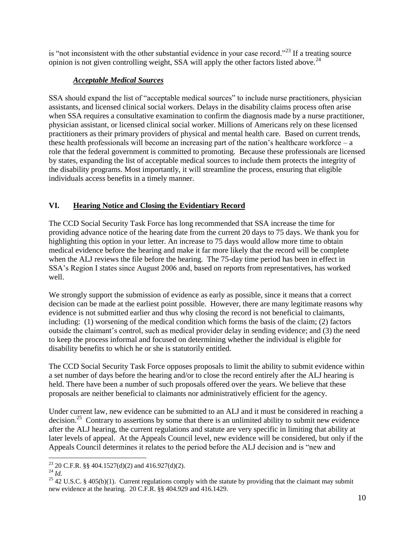is "not inconsistent with the other substantial evidence in your case record."<sup>23</sup> If a treating source opinion is not given controlling weight, SSA will apply the other factors listed above.<sup>24</sup>

# *Acceptable Medical Sources*

SSA should expand the list of "acceptable medical sources" to include nurse practitioners, physician assistants, and licensed clinical social workers. Delays in the disability claims process often arise when SSA requires a consultative examination to confirm the diagnosis made by a nurse practitioner, physician assistant, or licensed clinical social worker. Millions of Americans rely on these licensed practitioners as their primary providers of physical and mental health care. Based on current trends, these health professionals will become an increasing part of the nation's healthcare workforce  $-a$ role that the federal government is committed to promoting. Because these professionals are licensed by states, expanding the list of acceptable medical sources to include them protects the integrity of the disability programs. Most importantly, it will streamline the process, ensuring that eligible individuals access benefits in a timely manner.

# **VI. Hearing Notice and Closing the Evidentiary Record**

The CCD Social Security Task Force has long recommended that SSA increase the time for providing advance notice of the hearing date from the current 20 days to 75 days. We thank you for highlighting this option in your letter. An increase to 75 days would allow more time to obtain medical evidence before the hearing and make it far more likely that the record will be complete when the ALJ reviews the file before the hearing. The 75-day time period has been in effect in SSA's Region I states since August 2006 and, based on reports from representatives, has worked well.

We strongly support the submission of evidence as early as possible, since it means that a correct decision can be made at the earliest point possible. However, there are many legitimate reasons why evidence is not submitted earlier and thus why closing the record is not beneficial to claimants, including: (1) worsening of the medical condition which forms the basis of the claim; (2) factors outside the claimant's control, such as medical provider delay in sending evidence; and (3) the need to keep the process informal and focused on determining whether the individual is eligible for disability benefits to which he or she is statutorily entitled.

The CCD Social Security Task Force opposes proposals to limit the ability to submit evidence within a set number of days before the hearing and/or to close the record entirely after the ALJ hearing is held. There have been a number of such proposals offered over the years. We believe that these proposals are neither beneficial to claimants nor administratively efficient for the agency.

Under current law, new evidence can be submitted to an ALJ and it must be considered in reaching a decision.<sup>25</sup> Contrary to assertions by some that there is an unlimited ability to submit new evidence after the ALJ hearing, the current regulations and statute are very specific in limiting that ability at later levels of appeal. At the Appeals Council level, new evidence will be considered, but only if the Appeals Council determines it relates to the period before the ALJ decision and is "new and

 $\overline{a}$ <sup>23</sup> 20 C.F.R. §§ 404.1527(d)(2) and 416.927(d)(2).

<sup>24</sup> *Id.*

<sup>&</sup>lt;sup>25</sup> 42 U.S.C. § 405(b)(1). Current regulations comply with the statute by providing that the claimant may submit new evidence at the hearing. 20 C.F.R. §§ 404.929 and 416.1429.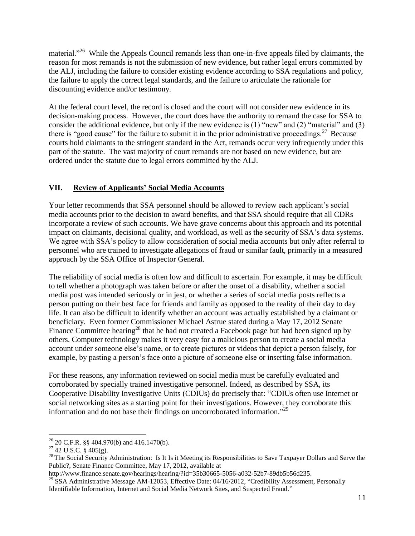material."<sup>26</sup> While the Appeals Council remands less than one-in-five appeals filed by claimants, the reason for most remands is not the submission of new evidence, but rather legal errors committed by the ALJ, including the failure to consider existing evidence according to SSA regulations and policy, the failure to apply the correct legal standards, and the failure to articulate the rationale for discounting evidence and/or testimony.

At the federal court level, the record is closed and the court will not consider new evidence in its decision-making process. However, the court does have the authority to remand the case for SSA to consider the additional evidence, but only if the new evidence is (1) "new" and (2) "material" and (3) there is "good cause" for the failure to submit it in the prior administrative proceedings.<sup>27</sup> Because courts hold claimants to the stringent standard in the Act, remands occur very infrequently under this part of the statute. The vast majority of court remands are not based on new evidence, but are ordered under the statute due to legal errors committed by the ALJ.

#### **VII. Review of Applicants' Social Media Accounts**

Your letter recommends that SSA personnel should be allowed to review each applicant's social media accounts prior to the decision to award benefits, and that SSA should require that all CDRs incorporate a review of such accounts. We have grave concerns about this approach and its potential impact on claimants, decisional quality, and workload, as well as the security of SSA's data systems. We agree with SSA's policy to allow consideration of social media accounts but only after referral to personnel who are trained to investigate allegations of fraud or similar fault, primarily in a measured approach by the SSA Office of Inspector General.

The reliability of social media is often low and difficult to ascertain. For example, it may be difficult to tell whether a photograph was taken before or after the onset of a disability, whether a social media post was intended seriously or in jest, or whether a series of social media posts reflects a person putting on their best face for friends and family as opposed to the reality of their day to day life. It can also be difficult to identify whether an account was actually established by a claimant or beneficiary. Even former Commissioner Michael Astrue stated during a May 17, 2012 Senate Finance Committee hearing<sup>28</sup> that he had not created a Facebook page but had been signed up by others. Computer technology makes it very easy for a malicious person to create a social media account under someone else's name, or to create pictures or videos that depict a person falsely, for example, by pasting a person's face onto a picture of someone else or inserting false information.

For these reasons, any information reviewed on social media must be carefully evaluated and corroborated by specially trained investigative personnel. Indeed, as described by SSA, its Cooperative Disability Investigative Units (CDIUs) do precisely that: "CDIUs often use Internet or social networking sites as a starting point for their investigations. However, they corroborate this information and do not base their findings on uncorroborated information."<sup>29</sup>

 $26$  20 C.F.R. §§ 404.970(b) and 416.1470(b).

 $27$  42 U.S.C. § 405(g).

<sup>&</sup>lt;sup>28</sup> The Social Security Administration: Is It Is it Meeting its Responsibilities to Save Taxpayer Dollars and Serve the Public?, Senate Finance Committee, May 17, 2012, available at

[http://www.finance.senate.gov/hearings/hearing/?id=35b30665-5056-a032-52b7-89db5b56d235.](http://www.finance.senate.gov/hearings/hearing/?id=35b30665-5056-a032-52b7-89db5b56d235)

<sup>&</sup>lt;sup>29</sup> SSA Administrative Message AM-12053, Effective Date: 04/16/2012, "Credibility Assessment, Personally Identifiable Information, Internet and Social Media Network Sites, and Suspected Fraud."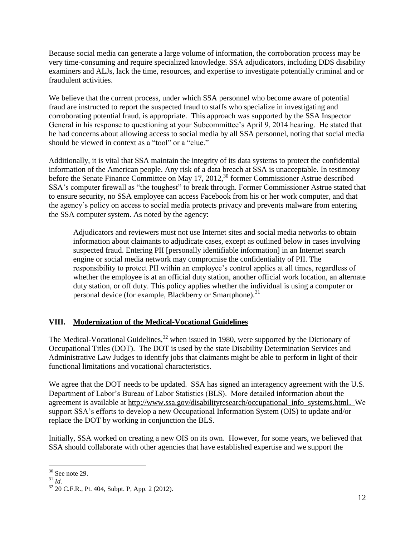Because social media can generate a large volume of information, the corroboration process may be very time-consuming and require specialized knowledge. SSA adjudicators, including DDS disability examiners and ALJs, lack the time, resources, and expertise to investigate potentially criminal and or fraudulent activities.

We believe that the current process, under which SSA personnel who become aware of potential fraud are instructed to report the suspected fraud to staffs who specialize in investigating and corroborating potential fraud, is appropriate. This approach was supported by the SSA Inspector General in his response to questioning at your Subcommittee's April 9, 2014 hearing. He stated that he had concerns about allowing access to social media by all SSA personnel, noting that social media should be viewed in context as a "tool" or a "clue."

Additionally, it is vital that SSA maintain the integrity of its data systems to protect the confidential information of the American people. Any risk of a data breach at SSA is unacceptable. In testimony before the Senate Finance Committee on May 17, 2012,<sup>30</sup> former Commissioner Astrue described SSA's computer firewall as "the toughest" to break through. Former Commissioner Astrue stated that to ensure security, no SSA employee can access Facebook from his or her work computer, and that the agency's policy on access to social media protects privacy and prevents malware from entering the SSA computer system. As noted by the agency:

Adjudicators and reviewers must not use Internet sites and social media networks to obtain information about claimants to adjudicate cases, except as outlined below in cases involving suspected fraud. Entering PII [personally identifiable information] in an Internet search engine or social media network may compromise the confidentiality of PII. The responsibility to protect PII within an employee's control applies at all times, regardless of whether the employee is at an official duty station, another official work location, an alternate duty station, or off duty. This policy applies whether the individual is using a computer or personal device (for example, Blackberry or Smartphone).<sup>31</sup>

# **VIII. Modernization of the Medical-Vocational Guidelines**

The Medical-Vocational Guidelines,<sup>32</sup> when issued in 1980, were supported by the Dictionary of Occupational Titles (DOT). The DOT is used by the state Disability Determination Services and Administrative Law Judges to identify jobs that claimants might be able to perform in light of their functional limitations and vocational characteristics.

We agree that the DOT needs to be updated. SSA has signed an interagency agreement with the U.S. Department of Labor's Bureau of Labor Statistics (BLS). More detailed information about the agreement is available at [http://www.ssa.gov/disabilityresearch/occupational\\_info\\_systems.html.](http://www.ssa.gov/disabilityresearch/occupational_info_systems.html) We support SSA's efforts to develop a new Occupational Information System (OIS) to update and/or replace the DOT by working in conjunction the BLS.

Initially, SSA worked on creating a new OIS on its own. However, for some years, we believed that SSA should collaborate with other agencies that have established expertise and we support the

 $\overline{a}$  $30$  See note 29.

<sup>31</sup> *Id.*

<sup>32</sup> 20 C.F.R., Pt. 404, Subpt. P, App. 2 (2012).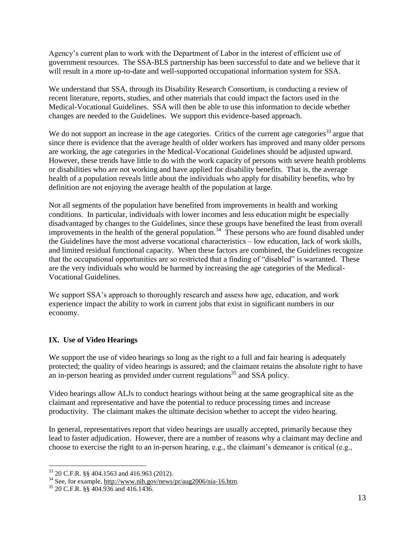Agency's current plan to work with the Department of Labor in the interest of efficient use of government resources. The SSA-BLS partnership has been successful to date and we believe that it will result in a more up-to-date and well-supported occupational information system for SSA.

We understand that SSA, through its Disability Research Consortium, is conducting a review of recent literature, reports, studies, and other materials that could impact the factors used in the Medical-Vocational Guidelines. SSA will then be able to use this information to decide whether changes are needed to the Guidelines. We support this evidence-based approach.

We do not support an increase in the age categories. Critics of the current age categories<sup>33</sup> argue that since there is evidence that the average health of older workers has improved and many older persons are working, the age categories in the Medical-Vocational Guidelines should be adjusted upward. However, these trends have little to do with the work capacity of persons with severe health problems or disabilities who are not working and have applied for disability benefits. That is, the average health of a population reveals little about the individuals who apply for disability benefits, who by definition are not enjoying the average health of the population at large.

Not all segments of the population have benefited from improvements in health and working conditions. In particular, individuals with lower incomes and less education might be especially disadvantaged by changes to the Guidelines, since these groups have benefited the least from overall improvements in the health of the general population.<sup>34</sup> These persons who are found disabled under the Guidelines have the most adverse vocational characteristics – low education, lack of work skills, and limited residual functional capacity. When these factors are combined, the Guidelines recognize that the occupational opportunities are so restricted that a finding of "disabled" is warranted. These are the very individuals who would be harmed by increasing the age categories of the Medical-Vocational Guidelines.

We support SSA's approach to thoroughly research and assess how age, education, and work experience impact the ability to work in current jobs that exist in significant numbers in our economy.

# **IX. Use of Video Hearings**

We support the use of video hearings so long as the right to a full and fair hearing is adequately protected; the quality of video hearings is assured; and the claimant retains the absolute right to have an in-person hearing as provided under current regulations<sup>35</sup> and SSA policy.

Video hearings allow ALJs to conduct hearings without being at the same geographical site as the claimant and representative and have the potential to reduce processing times and increase productivity. The claimant makes the ultimate decision whether to accept the video hearing.

In general, representatives report that video hearings are usually accepted, primarily because they lead to faster adjudication. However, there are a number of reasons why a claimant may decline and choose to exercise the right to an in-person hearing, e.g., the claimant's demeanor is critical (e.g.,

 $33$  20 C.F.R. §§ 404.1563 and 416.963 (2012).

<sup>&</sup>lt;sup>34</sup> See, for example, [http://www.nih.gov/news/pr/aug2006/nia-16.htm.](http://www.nih.gov/news/pr/aug2006/nia-16.htm)

<sup>35</sup> 20 C.F.R. §§ 404.936 and 416.1436.